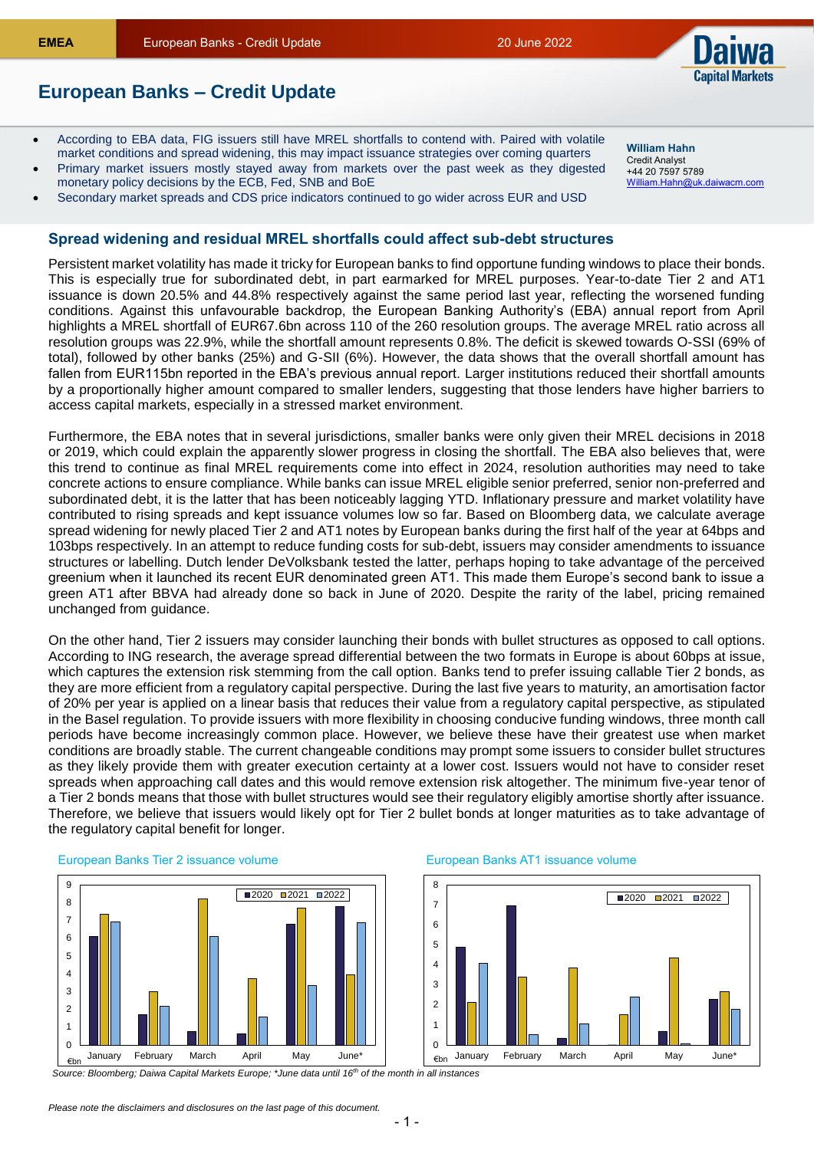

## **European Banks – Credit Update**

- According to EBA data, FIG issuers still have MREL shortfalls to contend with. Paired with volatile market conditions and spread widening, this may impact issuance strategies over coming quarters
- Primary market issuers mostly stayed away from markets over the past week as they digested monetary policy decisions by the ECB, Fed, SNB and BoE
- Secondary market spreads and CDS price indicators continued to go wider across EUR and USD

## **Spread widening and residual MREL shortfalls could affect sub-debt structures**

Persistent market volatility has made it tricky for European banks to find opportune funding windows to place their bonds. This is especially true for subordinated debt, in part earmarked for MREL purposes. Year-to-date Tier 2 and AT1 issuance is down 20.5% and 44.8% respectively against the same period last year, reflecting the worsened funding conditions. Against this unfavourable backdrop, the European Banking Authority's (EBA) annual report from April highlights a MREL shortfall of EUR67.6bn across 110 of the 260 resolution groups. The average MREL ratio across all resolution groups was 22.9%, while the shortfall amount represents 0.8%. The deficit is skewed towards O-SSI (69% of total), followed by other banks (25%) and G-SII (6%). However, the data shows that the overall shortfall amount has fallen from EUR115bn reported in the EBA's previous annual report. Larger institutions reduced their shortfall amounts by a proportionally higher amount compared to smaller lenders, suggesting that those lenders have higher barriers to access capital markets, especially in a stressed market environment.

Furthermore, the EBA notes that in several jurisdictions, smaller banks were only given their MREL decisions in 2018 or 2019, which could explain the apparently slower progress in closing the shortfall. The EBA also believes that, were this trend to continue as final MREL requirements come into effect in 2024, resolution authorities may need to take concrete actions to ensure compliance. While banks can issue MREL eligible senior preferred, senior non-preferred and subordinated debt, it is the latter that has been noticeably lagging YTD. Inflationary pressure and market volatility have contributed to rising spreads and kept issuance volumes low so far. Based on Bloomberg data, we calculate average spread widening for newly placed Tier 2 and AT1 notes by European banks during the first half of the year at 64bps and 103bps respectively. In an attempt to reduce funding costs for sub-debt, issuers may consider amendments to issuance structures or labelling. Dutch lender DeVolksbank tested the latter, perhaps hoping to take advantage of the perceived greenium when it launched its recent EUR denominated green AT1. This made them Europe's second bank to issue a green AT1 after BBVA had already done so back in June of 2020. Despite the rarity of the label, pricing remained unchanged from guidance.

On the other hand, Tier 2 issuers may consider launching their bonds with bullet structures as opposed to call options. According to ING research, the average spread differential between the two formats in Europe is about 60bps at issue, which captures the extension risk stemming from the call option. Banks tend to prefer issuing callable Tier 2 bonds, as they are more efficient from a regulatory capital perspective. During the last five years to maturity, an amortisation factor of 20% per year is applied on a linear basis that reduces their value from a regulatory capital perspective, as stipulated in the Basel regulation. To provide issuers with more flexibility in choosing conducive funding windows, three month call periods have become increasingly common place. However, we believe these have their greatest use when market conditions are broadly stable. The current changeable conditions may prompt some issuers to consider bullet structures as they likely provide them with greater execution certainty at a lower cost. Issuers would not have to consider reset spreads when approaching call dates and this would remove extension risk altogether. The minimum five-year tenor of a Tier 2 bonds means that those with bullet structures would see their regulatory eligibly amortise shortly after issuance. Therefore, we believe that issuers would likely opt for Tier 2 bullet bonds at longer maturities as to take advantage of the regulatory capital benefit for longer.



## European Banks Tier 2 issuance volume European Banks AT1 issuance volume



*Source: Bloomberg; Daiwa Capital Markets Europe; \*June data until 16th of the month in all instances*

**William Hahn** Credit Analyst +44 20 7597 5789 [William.Hahn@uk.daiwacm.com](mailto:William.Hahn@uk.daiwacm.com)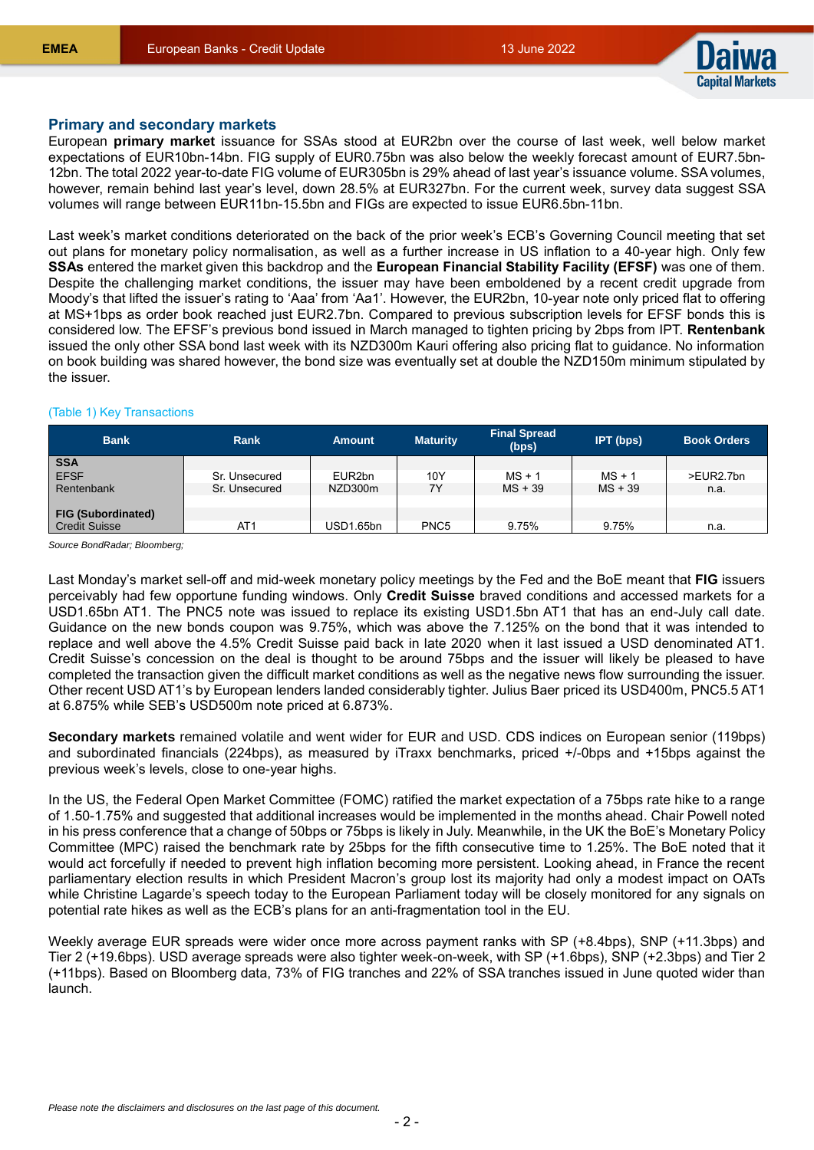

## **Primary and secondary markets**

European **primary market** issuance for SSAs stood at EUR2bn over the course of last week, well below market expectations of EUR10bn-14bn. FIG supply of EUR0.75bn was also below the weekly forecast amount of EUR7.5bn-12bn. The total 2022 year-to-date FIG volume of EUR305bn is 29% ahead of last year's issuance volume. SSA volumes, however, remain behind last year's level, down 28.5% at EUR327bn. For the current week, survey data suggest SSA volumes will range between EUR11bn-15.5bn and FIGs are expected to issue EUR6.5bn-11bn.

Last week's market conditions deteriorated on the back of the prior week's ECB's Governing Council meeting that set out plans for monetary policy normalisation, as well as a further increase in US inflation to a 40-year high. Only few **SSAs** entered the market given this backdrop and the **European Financial Stability Facility (EFSF)** was one of them. Despite the challenging market conditions, the issuer may have been emboldened by a recent credit upgrade from Moody's that lifted the issuer's rating to 'Aaa' from 'Aa1'. However, the EUR2bn, 10-year note only priced flat to offering at MS+1bps as order book reached just EUR2.7bn. Compared to previous subscription levels for EFSF bonds this is considered low. The EFSF's previous bond issued in March managed to tighten pricing by 2bps from IPT. **Rentenbank** issued the only other SSA bond last week with its NZD300m Kauri offering also pricing flat to guidance. No information on book building was shared however, the bond size was eventually set at double the NZD150m minimum stipulated by the issuer.

### (Table 1) Key Transactions

| <b>Bank</b>               | Rank            | <b>Maturity</b><br><b>Amount</b> |                  | <b>Final Spread</b><br>(bps) | IPT (bps) | <b>Book Orders</b> |  |
|---------------------------|-----------------|----------------------------------|------------------|------------------------------|-----------|--------------------|--|
| <b>SSA</b><br><b>EFSF</b> | Sr. Unsecured   | EUR <sub>2</sub> bn              | 10Y              | $MS + 1$                     | $MS + 1$  | >EUR2.7bn          |  |
| Rentenbank                | Sr. Unsecured   | NZD300m                          | 7Y               | $MS + 39$                    | $MS + 39$ | n.a.               |  |
| <b>FIG (Subordinated)</b> |                 |                                  |                  |                              |           |                    |  |
| <b>Credit Suisse</b>      | AT <sub>1</sub> | USD1.65bn                        | PNC <sub>5</sub> | 9.75%                        | 9.75%     | n.a.               |  |

*Source BondRadar; Bloomberg;*

Last Monday's market sell-off and mid-week monetary policy meetings by the Fed and the BoE meant that **FIG** issuers perceivably had few opportune funding windows. Only **Credit Suisse** braved conditions and accessed markets for a USD1.65bn AT1. The PNC5 note was issued to replace its existing USD1.5bn AT1 that has an end-July call date. Guidance on the new bonds coupon was 9.75%, which was above the 7.125% on the bond that it was intended to replace and well above the 4.5% Credit Suisse paid back in late 2020 when it last issued a USD denominated AT1. Credit Suisse's concession on the deal is thought to be around 75bps and the issuer will likely be pleased to have completed the transaction given the difficult market conditions as well as the negative news flow surrounding the issuer. Other recent USD AT1's by European lenders landed considerably tighter. Julius Baer priced its USD400m, PNC5.5 AT1 at 6.875% while SEB's USD500m note priced at 6.873%.

**Secondary markets** remained volatile and went wider for EUR and USD. CDS indices on European senior (119bps) and subordinated financials (224bps), as measured by iTraxx benchmarks, priced +/-0bps and +15bps against the previous week's levels, close to one-year highs.

In the US, the Federal Open Market Committee (FOMC) ratified the market expectation of a 75bps rate hike to a range of 1.50-1.75% and suggested that additional increases would be implemented in the months ahead. Chair Powell noted in his press conference that a change of 50bps or 75bps is likely in July. Meanwhile, in the UK the BoE's Monetary Policy Committee (MPC) raised the benchmark rate by 25bps for the fifth consecutive time to 1.25%. The BoE noted that it would act forcefully if needed to prevent high inflation becoming more persistent. Looking ahead, in France the recent parliamentary election results in which President Macron's group lost its majority had only a modest impact on OATs while Christine Lagarde's speech today to the European Parliament today will be closely monitored for any signals on potential rate hikes as well as the ECB's plans for an anti-fragmentation tool in the EU.

Weekly average EUR spreads were wider once more across payment ranks with SP (+8.4bps), SNP (+11.3bps) and Tier 2 (+19.6bps). USD average spreads were also tighter week-on-week, with SP (+1.6bps), SNP (+2.3bps) and Tier 2 (+11bps). Based on Bloomberg data, 73% of FIG tranches and 22% of SSA tranches issued in June quoted wider than launch.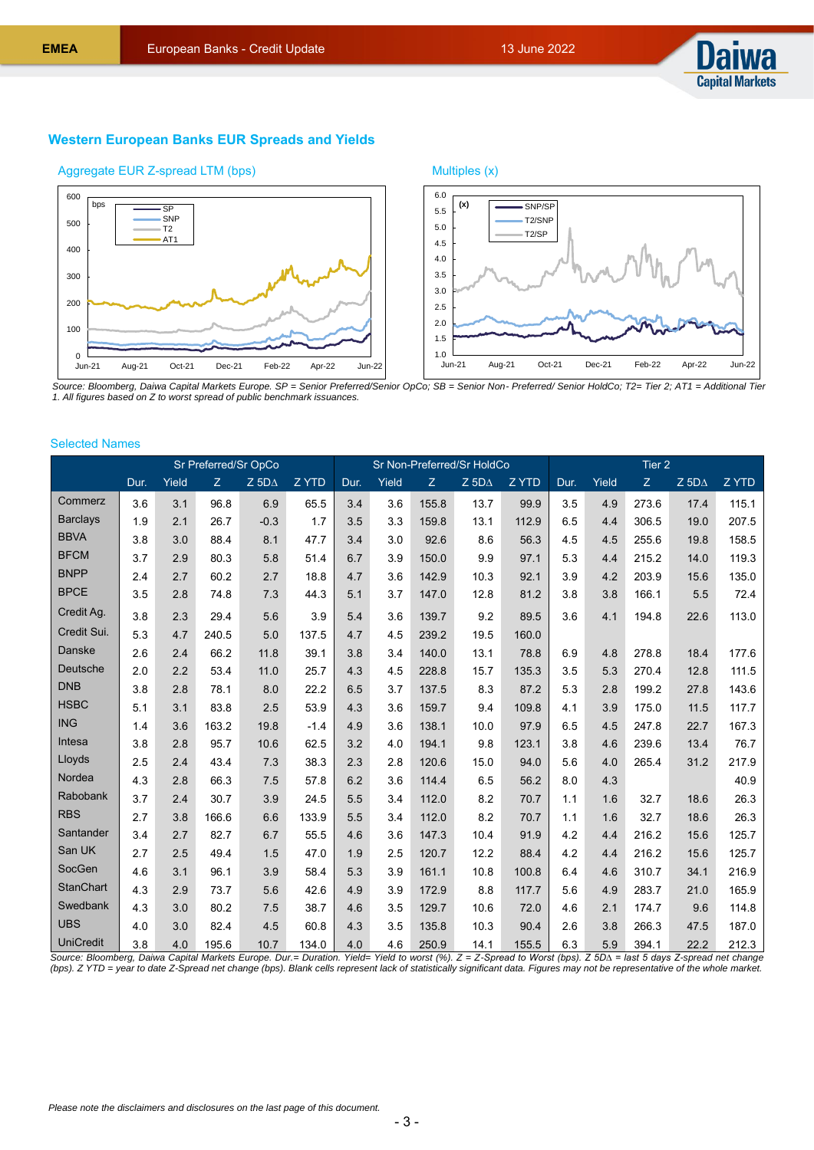

## **Western European Banks EUR Spreads and Yields**

## Aggregate EUR Z-spread LTM (bps) Multiples (x)



*Source: Bloomberg, Daiwa Capital Markets Europe. SP = Senior Preferred/Senior OpCo; SB = Senior Non- Preferred/ Senior HoldCo; T2= Tier 2; AT1 = Additional Tier 1. All figures based on Z to worst spread of public benchmark issuances.*

## Selected Names

|                  | Sr Preferred/Sr OpCo |       |       |                 |        | Sr Non-Preferred/Sr HoldCo |       |       |                 |       | Tier <sub>2</sub> |       |       |                 |       |  |
|------------------|----------------------|-------|-------|-----------------|--------|----------------------------|-------|-------|-----------------|-------|-------------------|-------|-------|-----------------|-------|--|
|                  | Dur.                 | Yield | Z     | $Z$ 5D $\Delta$ | Z YTD  | Dur.                       | Yield | Z     | $Z$ 5D $\Delta$ | Z YTD | Dur.              | Yield | Z     | $Z$ 5D $\Delta$ | Z YTD |  |
| Commerz          | 3.6                  | 3.1   | 96.8  | 6.9             | 65.5   | 3.4                        | 3.6   | 155.8 | 13.7            | 99.9  | 3.5               | 4.9   | 273.6 | 17.4            | 115.1 |  |
| <b>Barclays</b>  | 1.9                  | 2.1   | 26.7  | $-0.3$          | 1.7    | 3.5                        | 3.3   | 159.8 | 13.1            | 112.9 | 6.5               | 4.4   | 306.5 | 19.0            | 207.5 |  |
| <b>BBVA</b>      | 3.8                  | 3.0   | 88.4  | 8.1             | 47.7   | 3.4                        | 3.0   | 92.6  | 8.6             | 56.3  | 4.5               | 4.5   | 255.6 | 19.8            | 158.5 |  |
| <b>BFCM</b>      | 3.7                  | 2.9   | 80.3  | 5.8             | 51.4   | 6.7                        | 3.9   | 150.0 | 9.9             | 97.1  | 5.3               | 4.4   | 215.2 | 14.0            | 119.3 |  |
| <b>BNPP</b>      | 2.4                  | 2.7   | 60.2  | 2.7             | 18.8   | 4.7                        | 3.6   | 142.9 | 10.3            | 92.1  | 3.9               | 4.2   | 203.9 | 15.6            | 135.0 |  |
| <b>BPCE</b>      | 3.5                  | 2.8   | 74.8  | 7.3             | 44.3   | 5.1                        | 3.7   | 147.0 | 12.8            | 81.2  | 3.8               | 3.8   | 166.1 | 5.5             | 72.4  |  |
| Credit Ag.       | 3.8                  | 2.3   | 29.4  | 5.6             | 3.9    | 5.4                        | 3.6   | 139.7 | 9.2             | 89.5  | 3.6               | 4.1   | 194.8 | 22.6            | 113.0 |  |
| Credit Sui.      | 5.3                  | 4.7   | 240.5 | 5.0             | 137.5  | 4.7                        | 4.5   | 239.2 | 19.5            | 160.0 |                   |       |       |                 |       |  |
| Danske           | 2.6                  | 2.4   | 66.2  | 11.8            | 39.1   | 3.8                        | 3.4   | 140.0 | 13.1            | 78.8  | 6.9               | 4.8   | 278.8 | 18.4            | 177.6 |  |
| Deutsche         | 2.0                  | 2.2   | 53.4  | 11.0            | 25.7   | 4.3                        | 4.5   | 228.8 | 15.7            | 135.3 | 3.5               | 5.3   | 270.4 | 12.8            | 111.5 |  |
| <b>DNB</b>       | 3.8                  | 2.8   | 78.1  | 8.0             | 22.2   | 6.5                        | 3.7   | 137.5 | 8.3             | 87.2  | 5.3               | 2.8   | 199.2 | 27.8            | 143.6 |  |
| <b>HSBC</b>      | 5.1                  | 3.1   | 83.8  | 2.5             | 53.9   | 4.3                        | 3.6   | 159.7 | 9.4             | 109.8 | 4.1               | 3.9   | 175.0 | 11.5            | 117.7 |  |
| <b>ING</b>       | 1.4                  | 3.6   | 163.2 | 19.8            | $-1.4$ | 4.9                        | 3.6   | 138.1 | 10.0            | 97.9  | 6.5               | 4.5   | 247.8 | 22.7            | 167.3 |  |
| Intesa           | 3.8                  | 2.8   | 95.7  | 10.6            | 62.5   | 3.2                        | 4.0   | 194.1 | 9.8             | 123.1 | 3.8               | 4.6   | 239.6 | 13.4            | 76.7  |  |
| Lloyds           | 2.5                  | 2.4   | 43.4  | 7.3             | 38.3   | 2.3                        | 2.8   | 120.6 | 15.0            | 94.0  | 5.6               | 4.0   | 265.4 | 31.2            | 217.9 |  |
| Nordea           | 4.3                  | 2.8   | 66.3  | 7.5             | 57.8   | 6.2                        | 3.6   | 114.4 | 6.5             | 56.2  | 8.0               | 4.3   |       |                 | 40.9  |  |
| Rabobank         | 3.7                  | 2.4   | 30.7  | 3.9             | 24.5   | 5.5                        | 3.4   | 112.0 | 8.2             | 70.7  | 1.1               | 1.6   | 32.7  | 18.6            | 26.3  |  |
| <b>RBS</b>       | 2.7                  | 3.8   | 166.6 | 6.6             | 133.9  | 5.5                        | 3.4   | 112.0 | 8.2             | 70.7  | 1.1               | 1.6   | 32.7  | 18.6            | 26.3  |  |
| Santander        | 3.4                  | 2.7   | 82.7  | 6.7             | 55.5   | 4.6                        | 3.6   | 147.3 | 10.4            | 91.9  | 4.2               | 4.4   | 216.2 | 15.6            | 125.7 |  |
| San UK           | 2.7                  | 2.5   | 49.4  | 1.5             | 47.0   | 1.9                        | 2.5   | 120.7 | 12.2            | 88.4  | 4.2               | 4.4   | 216.2 | 15.6            | 125.7 |  |
| SocGen           | 4.6                  | 3.1   | 96.1  | 3.9             | 58.4   | 5.3                        | 3.9   | 161.1 | 10.8            | 100.8 | 6.4               | 4.6   | 310.7 | 34.1            | 216.9 |  |
| <b>StanChart</b> | 4.3                  | 2.9   | 73.7  | 5.6             | 42.6   | 4.9                        | 3.9   | 172.9 | 8.8             | 117.7 | 5.6               | 4.9   | 283.7 | 21.0            | 165.9 |  |
| Swedbank         | 4.3                  | 3.0   | 80.2  | 7.5             | 38.7   | 4.6                        | 3.5   | 129.7 | 10.6            | 72.0  | 4.6               | 2.1   | 174.7 | 9.6             | 114.8 |  |
| <b>UBS</b>       | 4.0                  | 3.0   | 82.4  | 4.5             | 60.8   | 4.3                        | 3.5   | 135.8 | 10.3            | 90.4  | 2.6               | 3.8   | 266.3 | 47.5            | 187.0 |  |
| <b>UniCredit</b> | 3.8                  | 4.0   | 195.6 | 10.7            | 134.0  | 4.0                        | 4.6   | 250.9 | 14.1            | 155.5 | 6.3               | 5.9   | 394.1 | 22.2            | 212.3 |  |

*Source: Bloomberg, Daiwa Capital Markets Europe. Dur.= Duration. Yield= Yield to worst (%). Z = Z-Spread to Worst (bps). Z 5D∆ = last 5 days Z-spread net change (bps). Z YTD = year to date Z-Spread net change (bps). Blank cells represent lack of statistically significant data. Figures may not be representative of the whole market.*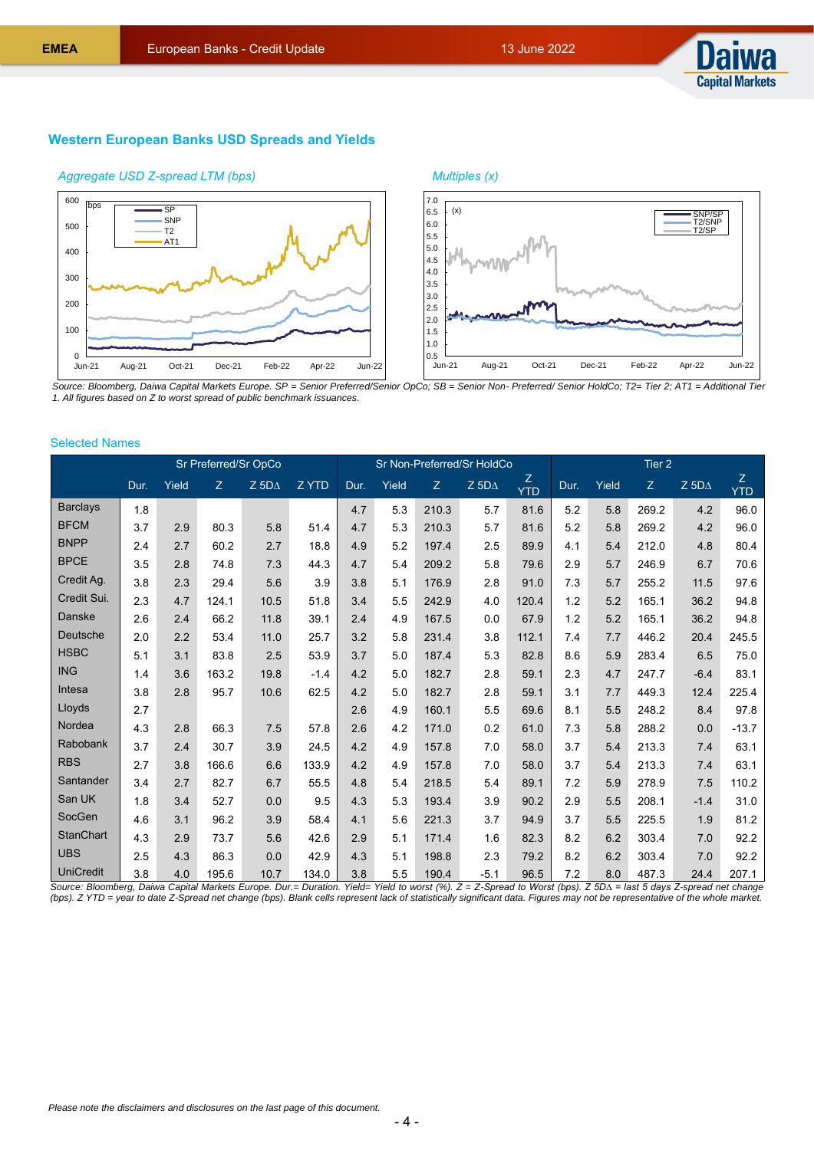

## **Western European Banks USD Spreads and Yields**





*Source: Bloomberg, Daiwa Capital Markets Europe. SP = Senior Preferred/Senior OpCo; SB = Senior Non- Preferred/ Senior HoldCo; T2= Tier 2; AT1 = Additional Tier 1. All figures based on Z to worst spread of public benchmark issuances.*

## Selected Names

|                                                                                                                                                                                      | Sr Preferred/Sr OpCo |       |       |                            |        | Sr Non-Preferred/Sr HoldCo |       |                           |                 |                 | Tier <sub>2</sub> |         |       |                 |                 |  |
|--------------------------------------------------------------------------------------------------------------------------------------------------------------------------------------|----------------------|-------|-------|----------------------------|--------|----------------------------|-------|---------------------------|-----------------|-----------------|-------------------|---------|-------|-----------------|-----------------|--|
|                                                                                                                                                                                      | Dur.                 | Yield | Z     | $Z$ 5D $\overline{\Delta}$ | Z YTD  | Dur.                       | Yield | $\ensuremath{\mathsf{Z}}$ | $Z$ 5D $\Delta$ | Z<br><b>YTD</b> | Dur.              | Yield   | Z     | $Z$ 5D $\Delta$ | Z<br><b>YTD</b> |  |
| <b>Barclays</b>                                                                                                                                                                      | 1.8                  |       |       |                            |        | 4.7                        | 5.3   | 210.3                     | 5.7             | 81.6            | 5.2               | 5.8     | 269.2 | 4.2             | 96.0            |  |
| <b>BFCM</b>                                                                                                                                                                          | 3.7                  | 2.9   | 80.3  | 5.8                        | 51.4   | 4.7                        | 5.3   | 210.3                     | 5.7             | 81.6            | 5.2               | 5.8     | 269.2 | 4.2             | 96.0            |  |
| <b>BNPP</b>                                                                                                                                                                          | 2.4                  | 2.7   | 60.2  | 2.7                        | 18.8   | 4.9                        | 5.2   | 197.4                     | 2.5             | 89.9            | 4.1               | 5.4     | 212.0 | 4.8             | 80.4            |  |
| <b>BPCE</b>                                                                                                                                                                          | 3.5                  | 2.8   | 74.8  | 7.3                        | 44.3   | 4.7                        | 5.4   | 209.2                     | 5.8             | 79.6            | 2.9               | 5.7     | 246.9 | 6.7             | 70.6            |  |
| Credit Ag.                                                                                                                                                                           | 3.8                  | 2.3   | 29.4  | 5.6                        | 3.9    | 3.8                        | 5.1   | 176.9                     | 2.8             | 91.0            | 7.3               | 5.7     | 255.2 | 11.5            | 97.6            |  |
| Credit Sui.                                                                                                                                                                          | 2.3                  | 4.7   | 124.1 | 10.5                       | 51.8   | 3.4                        | 5.5   | 242.9                     | 4.0             | 120.4           | 1.2               | 5.2     | 165.1 | 36.2            | 94.8            |  |
| Danske                                                                                                                                                                               | 2.6                  | 2.4   | 66.2  | 11.8                       | 39.1   | 2.4                        | 4.9   | 167.5                     | 0.0             | 67.9            | 1.2               | 5.2     | 165.1 | 36.2            | 94.8            |  |
| Deutsche                                                                                                                                                                             | 2.0                  | 2.2   | 53.4  | 11.0                       | 25.7   | 3.2                        | 5.8   | 231.4                     | 3.8             | 112.1           | 7.4               | 7.7     | 446.2 | 20.4            | 245.5           |  |
| <b>HSBC</b>                                                                                                                                                                          | 5.1                  | 3.1   | 83.8  | 2.5                        | 53.9   | 3.7                        | 5.0   | 187.4                     | 5.3             | 82.8            | 8.6               | 5.9     | 283.4 | 6.5             | 75.0            |  |
| <b>ING</b>                                                                                                                                                                           | 1.4                  | 3.6   | 163.2 | 19.8                       | $-1.4$ | 4.2                        | 5.0   | 182.7                     | 2.8             | 59.1            | 2.3               | 4.7     | 247.7 | $-6.4$          | 83.1            |  |
| Intesa                                                                                                                                                                               | 3.8                  | 2.8   | 95.7  | 10.6                       | 62.5   | 4.2                        | 5.0   | 182.7                     | 2.8             | 59.1            | 3.1               | 7.7     | 449.3 | 12.4            | 225.4           |  |
| Lloyds                                                                                                                                                                               | 2.7                  |       |       |                            |        | 2.6                        | 4.9   | 160.1                     | 5.5             | 69.6            | 8.1               | 5.5     | 248.2 | 8.4             | 97.8            |  |
| Nordea                                                                                                                                                                               | 4.3                  | 2.8   | 66.3  | 7.5                        | 57.8   | 2.6                        | 4.2   | 171.0                     | 0.2             | 61.0            | 7.3               | 5.8     | 288.2 | 0.0             | $-13.7$         |  |
| Rabobank                                                                                                                                                                             | 3.7                  | 2.4   | 30.7  | 3.9                        | 24.5   | 4.2                        | 4.9   | 157.8                     | 7.0             | 58.0            | 3.7               | 5.4     | 213.3 | 7.4             | 63.1            |  |
| <b>RBS</b>                                                                                                                                                                           | 2.7                  | 3.8   | 166.6 | 6.6                        | 133.9  | 4.2                        | 4.9   | 157.8                     | 7.0             | 58.0            | 3.7               | 5.4     | 213.3 | 7.4             | 63.1            |  |
| Santander                                                                                                                                                                            | 3.4                  | 2.7   | 82.7  | 6.7                        | 55.5   | 4.8                        | 5.4   | 218.5                     | 5.4             | 89.1            | 7.2               | 5.9     | 278.9 | 7.5             | 110.2           |  |
| San UK                                                                                                                                                                               | 1.8                  | 3.4   | 52.7  | 0.0                        | 9.5    | 4.3                        | 5.3   | 193.4                     | 3.9             | 90.2            | 2.9               | 5.5     | 208.1 | $-1.4$          | 31.0            |  |
| SocGen                                                                                                                                                                               | 4.6                  | 3.1   | 96.2  | 3.9                        | 58.4   | 4.1                        | 5.6   | 221.3                     | 3.7             | 94.9            | 3.7               | 5.5     | 225.5 | 1.9             | 81.2            |  |
| <b>StanChart</b>                                                                                                                                                                     | 4.3                  | 2.9   | 73.7  | 5.6                        | 42.6   | 2.9                        | 5.1   | 171.4                     | 1.6             | 82.3            | 8.2               | 6.2     | 303.4 | 7.0             | 92.2            |  |
| <b>UBS</b>                                                                                                                                                                           | 2.5                  | 4.3   | 86.3  | 0.0                        | 42.9   | 4.3                        | 5.1   | 198.8                     | 2.3             | 79.2            | 8.2               | 6.2     | 303.4 | 7.0             | 92.2            |  |
| <b>UniCredit</b><br>Source: Bloombarg, Daivie Capital Markata Europe, Dur-Durotion, Viold, Viold to worst (0/1, 7 – 7 Sprood to Warst (bno), 7 EDA = Jost 5 days 7 aproad not obange | 3.8                  | 4.0   | 195.6 | 10.7                       | 134.0  | 3.8                        | 5.5   | 190.4                     | $-5.1$          | 96.5            | 7.2               | $8.0\,$ | 487.3 | 24.4            | 207.1           |  |

*Source: Bloomberg, Daiwa Capital Markets Europe. Dur.= Duration. Yield= Yield to worst (%). Z = Z-Spread to Worst (bps). Z 5D∆ = last 5 days Z-spread net change (bps). Z YTD = year to date Z-Spread net change (bps). Blank cells represent lack of statistically significant data. Figures may not be representative of the whole market.*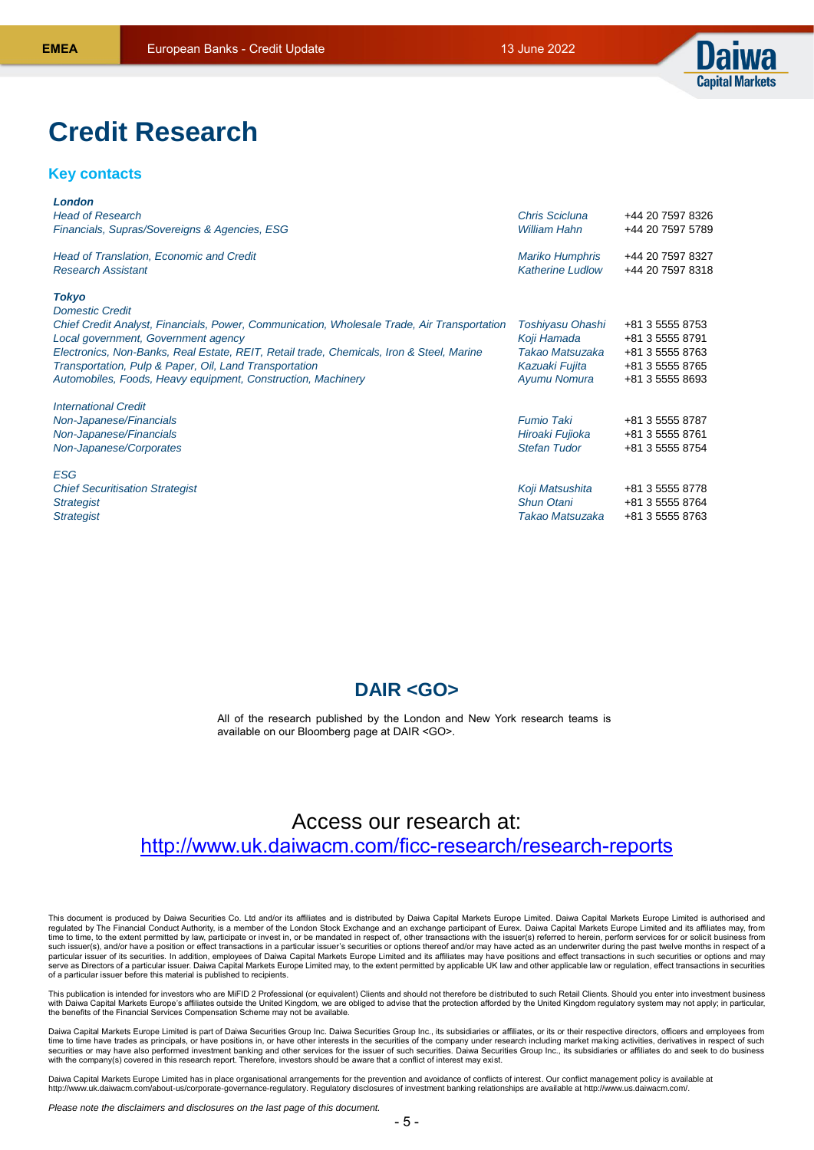

# **Credit Research**

## **Key contacts**

| London                                                                                      |                         |                  |
|---------------------------------------------------------------------------------------------|-------------------------|------------------|
| <b>Head of Research</b>                                                                     | Chris Scicluna          | +44 20 7597 8326 |
| Financials, Supras/Sovereigns & Agencies, ESG                                               | William Hahn            | +44 20 7597 5789 |
| Head of Translation, Economic and Credit                                                    | Mariko Humphris         | +44 20 7597 8327 |
| <b>Research Assistant</b>                                                                   | <b>Katherine Ludlow</b> | +44 20 7597 8318 |
| <b>Tokyo</b>                                                                                |                         |                  |
| <b>Domestic Credit</b>                                                                      |                         |                  |
| Chief Credit Analyst, Financials, Power, Communication, Wholesale Trade, Air Transportation | Toshiyasu Ohashi        | +81 3 5555 8753  |
| Local government, Government agency                                                         | Koji Hamada             | +81 3 5555 8791  |
| Electronics, Non-Banks, Real Estate, REIT, Retail trade, Chemicals, Iron & Steel, Marine    | Takao Matsuzaka         | +81 3 5555 8763  |
| Transportation, Pulp & Paper, Oil, Land Transportation                                      | Kazuaki Fujita          | +81 3 5555 8765  |
| Automobiles, Foods, Heavy equipment, Construction, Machinery                                | Ayumu Nomura            | +81 3 5555 8693  |
| <b>International Credit</b>                                                                 |                         |                  |
| Non-Japanese/Financials                                                                     | <b>Fumio Taki</b>       | +81 3 5555 8787  |
| Non-Japanese/Financials                                                                     | Hiroaki Fujioka         | +81 3 5555 8761  |
| Non-Japanese/Corporates                                                                     | <b>Stefan Tudor</b>     | +81 3 5555 8754  |
| <b>ESG</b>                                                                                  |                         |                  |
| <b>Chief Securitisation Strategist</b>                                                      | Koji Matsushita         | +81 3 5555 8778  |
| <b>Strategist</b>                                                                           | Shun Otani              | +81 3 5555 8764  |
| <b>Strategist</b>                                                                           | Takao Matsuzaka         | +81 3 5555 8763  |
|                                                                                             |                         |                  |

# **DAIR <GO>**

All of the research published by the London and New York research teams is available on our Bloomberg page at DAIR <GO>.

# Access our research at: <http://www.uk.daiwacm.com/ficc-research/research-reports>

This document is produced by Daiwa Securities Co. Ltd and/or its affiliates and is distributed by Daiwa Capital Markets Europe Limited. Daiwa Capital Markets Europe Limited is authorised and regulated by The Financial Conduct Authority, is a member of the London Stock Exchange and an exchange participant of Eurex. Daiwa Capital Markets Europe Limited and its affiliates may, from<br>time to time, to the extent per particular issuer of its securities. In addition, employees of Daiwa Capital Markets Europe Limited and its affiliates may have positions and effect transactions in such securities or options and may<br>serve as Directors of of a particular issuer before this material is published to recipients.

This publication is intended for investors who are MiFID 2 Professional (or equivalent) Clients and should not therefore be distributed to such Retail Clients. Should you enter into investment business with Daiwa Capital Markets Europe's affiliates outside the United Kingdom, we are obliged to advise that the protection afforded by the United Kingdom regulatory system may not apply; in particular,<br>the benefits of the Fin

Daiwa Capital Markets Europe Limited is part of Daiwa Securities Group Inc. Daiwa Securities Group Inc., its subsidiaries or affiliates, or its or their respective directors, officers and employees from time to time have trades as principals, or have positions in, or have other interests in the securities of the company under research including market making activities, derivatives in respect of such<br>securities or may hav with the company(s) covered in this research report. Therefore, investors should be aware that a conflict of interest may exist.

Daiwa Capital Markets Europe Limited has in place organisational arrangements for the prevention and avoidance of conflicts of interest. Our conflict management policy is available at http://www.uk.daiwacm.com/about-us/corporate-governance-regulatory. Regulatory disclosures of investment banking relationships are available at http://www.us.daiwacm.com/.

*Please note the disclaimers and disclosures on the last page of this document.*